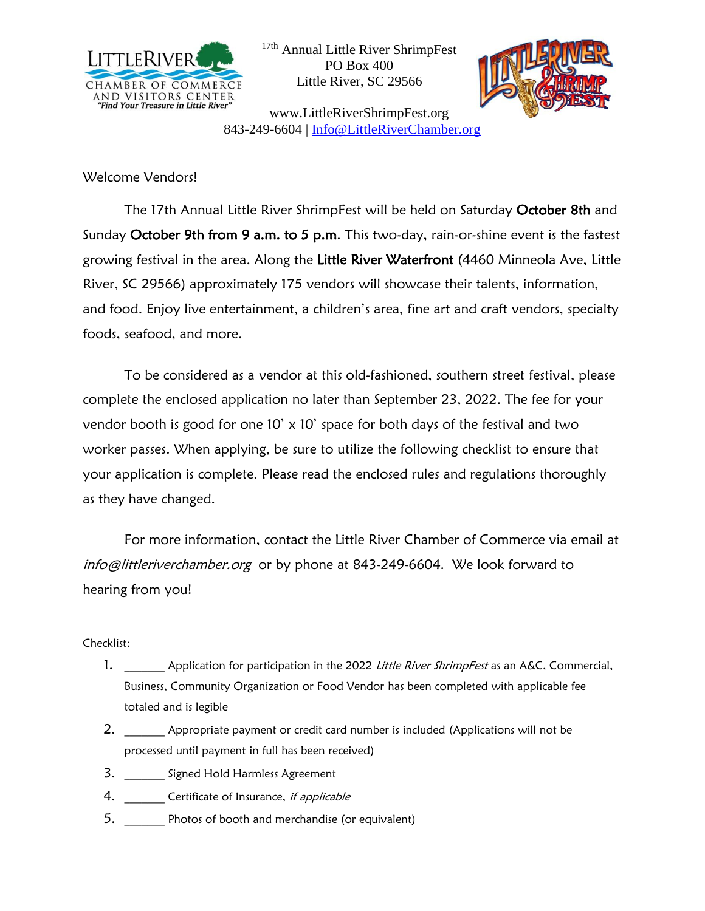

<sup>17th</sup> Annual Little River ShrimpFest PO Box 400 Little River, SC 29566



www.LittleRiverShrimpFest.org 843-249-6604 | [Info@LittleRiverChamber.org](mailto:info@littleriverchamber.org)

Welcome Vendors!

The 17th Annual Little River ShrimpFest will be held on Saturday October 8th and Sunday October 9th from 9 a.m. to 5 p.m. This two-day, rain-or-shine event is the fastest growing festival in the area. Along the Little River Waterfront (4460 Minneola Ave, Little River, SC 29566) approximately 175 vendors will showcase their talents, information, and food. Enjoy live entertainment, a children's area, fine art and craft vendors, specialty foods, seafood, and more.

To be considered as a vendor at this old-fashioned, southern street festival, please complete the enclosed application no later than September 23, 2022. The fee for your vendor booth is good for one  $10' \times 10'$  space for both days of the festival and two worker passes. When applying, be sure to utilize the following checklist to ensure that your application is complete. Please read the enclosed rules and regulations thoroughly as they have changed.

For more information, contact the Little River Chamber of Commerce via email at [info@littleriverchamber.org](mailto:info@littleriverchamber.org) or by phone at 843-249-6604. We look forward to hearing from you!

Checklist:

- 1. Application for participation in the 2022 Little River ShrimpFest as an A&C, Commercial, Business, Community Organization or Food Vendor has been completed with applicable fee totaled and is legible
- 2. Appropriate payment or credit card number is included (Applications will not be processed until payment in full has been received)
- 3. **Signed Hold Harmless Agreement**
- 4. Certificate of Insurance, if applicable
- 5. \_\_\_\_\_\_\_ Photos of booth and merchandise (or equivalent)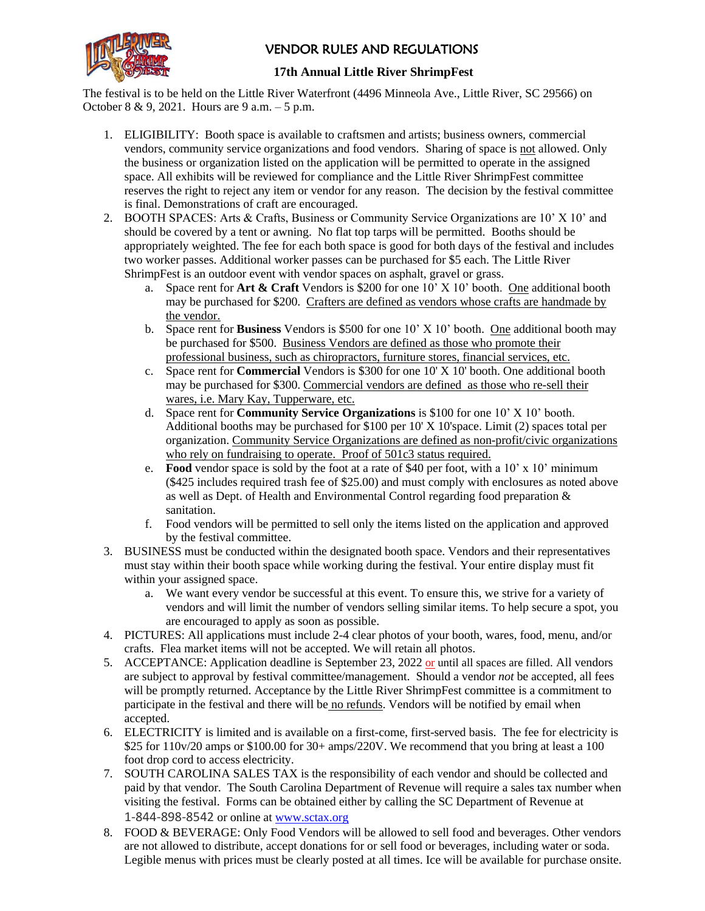

### VENDOR RULES AND REGULATIONS

#### **17th Annual Little River ShrimpFest**

The festival is to be held on the Little River Waterfront (4496 Minneola Ave., Little River, SC 29566) on October 8 & 9, 2021. Hours are 9 a.m. – 5 p.m.

- 1. ELIGIBILITY: Booth space is available to craftsmen and artists; business owners, commercial vendors, community service organizations and food vendors. Sharing of space is not allowed. Only the business or organization listed on the application will be permitted to operate in the assigned space. All exhibits will be reviewed for compliance and the Little River ShrimpFest committee reserves the right to reject any item or vendor for any reason. The decision by the festival committee is final. Demonstrations of craft are encouraged.
- 2. BOOTH SPACES: Arts & Crafts, Business or Community Service Organizations are 10' X 10' and should be covered by a tent or awning. No flat top tarps will be permitted. Booths should be appropriately weighted. The fee for each both space is good for both days of the festival and includes two worker passes. Additional worker passes can be purchased for \$5 each. The Little River ShrimpFest is an outdoor event with vendor spaces on asphalt, gravel or grass.
	- a. Space rent for **Art & Craft** Vendors is \$200 for one 10' X 10' booth. One additional booth may be purchased for \$200. Crafters are defined as vendors whose crafts are handmade by the vendor.
	- b. Space rent for **Business** Vendors is \$500 for one 10' X 10' booth. One additional booth may be purchased for \$500. Business Vendors are defined as those who promote their professional business, such as chiropractors, furniture stores, financial services, etc.
	- c. Space rent for **Commercial** Vendors is \$300 for one 10' X 10' booth. One additional booth may be purchased for \$300. Commercial vendors are defined as those who re-sell their wares, i.e. Mary Kay, Tupperware, etc.
	- d. Space rent for **Community Service Organizations** is \$100 for one 10' X 10' booth. Additional booths may be purchased for \$100 per 10' X 10'space. Limit (2) spaces total per organization. Community Service Organizations are defined as non-profit/civic organizations who rely on fundraising to operate. Proof of 501c3 status required.
	- e. **Food** vendor space is sold by the foot at a rate of \$40 per foot, with a 10' x 10' minimum (\$425 includes required trash fee of \$25.00) and must comply with enclosures as noted above as well as Dept. of Health and Environmental Control regarding food preparation & sanitation.
	- f. Food vendors will be permitted to sell only the items listed on the application and approved by the festival committee.
- 3. BUSINESS must be conducted within the designated booth space. Vendors and their representatives must stay within their booth space while working during the festival. Your entire display must fit within your assigned space.
	- a. We want every vendor be successful at this event. To ensure this, we strive for a variety of vendors and will limit the number of vendors selling similar items. To help secure a spot, you are encouraged to apply as soon as possible.
- 4. PICTURES: All applications must include 2-4 clear photos of your booth, wares, food, menu, and/or crafts. Flea market items will not be accepted. We will retain all photos.
- 5. ACCEPTANCE: Application deadline is September 23, 2022 or until all spaces are filled. All vendors are subject to approval by festival committee/management. Should a vendor *not* be accepted, all fees will be promptly returned. Acceptance by the Little River ShrimpFest committee is a commitment to participate in the festival and there will be no refunds. Vendors will be notified by email when accepted.
- 6. ELECTRICITY is limited and is available on a first-come, first-served basis. The fee for electricity is \$25 for 110v/20 amps or \$100.00 for 30+ amps/220V. We recommend that you bring at least a 100 foot drop cord to access electricity.
- 7. SOUTH CAROLINA SALES TAX is the responsibility of each vendor and should be collected and paid by that vendor. The South Carolina Department of Revenue will require a sales tax number when visiting the festival. Forms can be obtained either by calling the SC Department of Revenue at 1-844-898-8542 or online at [www.sctax.org](http://www.sctax.org/)
- 8. FOOD & BEVERAGE: Only Food Vendors will be allowed to sell food and beverages. Other vendors are not allowed to distribute, accept donations for or sell food or beverages, including water or soda. Legible menus with prices must be clearly posted at all times. Ice will be available for purchase onsite.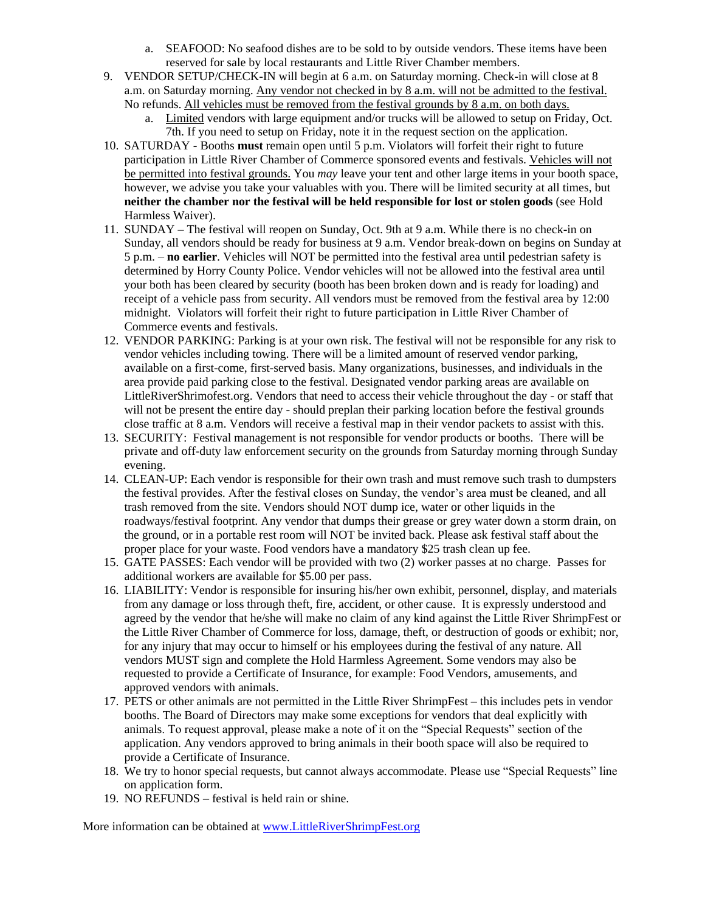- a. SEAFOOD: No seafood dishes are to be sold to by outside vendors. These items have been reserved for sale by local restaurants and Little River Chamber members.
- 9. VENDOR SETUP/CHECK-IN will begin at 6 a.m. on Saturday morning. Check-in will close at 8 a.m. on Saturday morning. Any vendor not checked in by 8 a.m. will not be admitted to the festival. No refunds. All vehicles must be removed from the festival grounds by 8 a.m. on both days.
	- a. Limited vendors with large equipment and/or trucks will be allowed to setup on Friday, Oct. 7th. If you need to setup on Friday, note it in the request section on the application.
- 10. SATURDAY Booths **must** remain open until 5 p.m. Violators will forfeit their right to future participation in Little River Chamber of Commerce sponsored events and festivals. Vehicles will not be permitted into festival grounds. You *may* leave your tent and other large items in your booth space, however, we advise you take your valuables with you. There will be limited security at all times, but **neither the chamber nor the festival will be held responsible for lost or stolen goods** (see Hold Harmless Waiver).
- 11. SUNDAY The festival will reopen on Sunday, Oct. 9th at 9 a.m. While there is no check-in on Sunday, all vendors should be ready for business at 9 a.m. Vendor break-down on begins on Sunday at 5 p.m. – **no earlier**. Vehicles will NOT be permitted into the festival area until pedestrian safety is determined by Horry County Police. Vendor vehicles will not be allowed into the festival area until your both has been cleared by security (booth has been broken down and is ready for loading) and receipt of a vehicle pass from security. All vendors must be removed from the festival area by 12:00 midnight. Violators will forfeit their right to future participation in Little River Chamber of Commerce events and festivals.
- 12. VENDOR PARKING: Parking is at your own risk. The festival will not be responsible for any risk to vendor vehicles including towing. There will be a limited amount of reserved vendor parking, available on a first-come, first-served basis. Many organizations, businesses, and individuals in the area provide paid parking close to the festival. Designated vendor parking areas are available on LittleRiverShrimofest.org. Vendors that need to access their vehicle throughout the day - or staff that will not be present the entire day - should preplan their parking location before the festival grounds close traffic at 8 a.m. Vendors will receive a festival map in their vendor packets to assist with this.
- 13. SECURITY: Festival management is not responsible for vendor products or booths. There will be private and off-duty law enforcement security on the grounds from Saturday morning through Sunday evening.
- 14. CLEAN-UP: Each vendor is responsible for their own trash and must remove such trash to dumpsters the festival provides. After the festival closes on Sunday, the vendor's area must be cleaned, and all trash removed from the site. Vendors should NOT dump ice, water or other liquids in the roadways/festival footprint. Any vendor that dumps their grease or grey water down a storm drain, on the ground, or in a portable rest room will NOT be invited back. Please ask festival staff about the proper place for your waste. Food vendors have a mandatory \$25 trash clean up fee.
- 15. GATE PASSES: Each vendor will be provided with two (2) worker passes at no charge. Passes for additional workers are available for \$5.00 per pass.
- 16. LIABILITY: Vendor is responsible for insuring his/her own exhibit, personnel, display, and materials from any damage or loss through theft, fire, accident, or other cause. It is expressly understood and agreed by the vendor that he/she will make no claim of any kind against the Little River ShrimpFest or the Little River Chamber of Commerce for loss, damage, theft, or destruction of goods or exhibit; nor, for any injury that may occur to himself or his employees during the festival of any nature. All vendors MUST sign and complete the Hold Harmless Agreement. Some vendors may also be requested to provide a Certificate of Insurance, for example: Food Vendors, amusements, and approved vendors with animals.
- 17. PETS or other animals are not permitted in the Little River ShrimpFest this includes pets in vendor booths. The Board of Directors may make some exceptions for vendors that deal explicitly with animals. To request approval, please make a note of it on the "Special Requests" section of the application. Any vendors approved to bring animals in their booth space will also be required to provide a Certificate of Insurance.
- 18. We try to honor special requests, but cannot always accommodate. Please use "Special Requests" line on application form.
- 19. NO REFUNDS festival is held rain or shine.

More information can be obtained at [www.LittleRiverShrimpFest.org](http://www.littlerivershrimpfest.org/)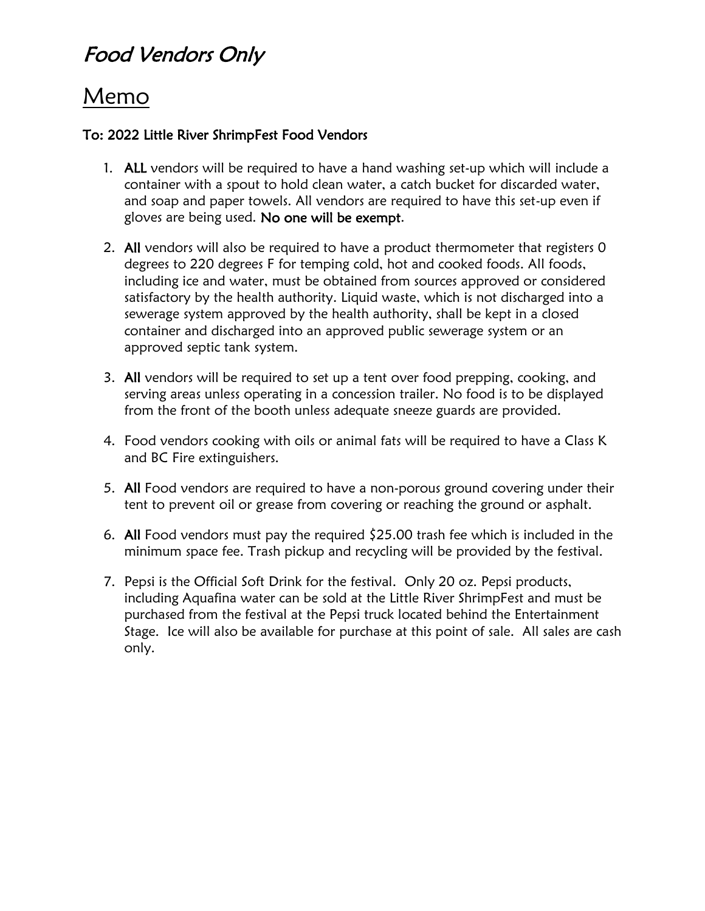## Food Vendors Only

## Memo

### To: 2022 Little River ShrimpFest Food Vendors

- 1. ALL vendors will be required to have a hand washing set-up which will include a container with a spout to hold clean water, a catch bucket for discarded water, and soap and paper towels. All vendors are required to have this set-up even if gloves are being used. No one will be exempt.
- 2. All vendors will also be required to have a product thermometer that registers 0 degrees to 220 degrees F for temping cold, hot and cooked foods. All foods, including ice and water, must be obtained from sources approved or considered satisfactory by the health authority. Liquid waste, which is not discharged into a sewerage system approved by the health authority, shall be kept in a closed container and discharged into an approved public sewerage system or an approved septic tank system.
- 3. All vendors will be required to set up a tent over food prepping, cooking, and serving areas unless operating in a concession trailer. No food is to be displayed from the front of the booth unless adequate sneeze guards are provided.
- 4. Food vendors cooking with oils or animal fats will be required to have a Class K and BC Fire extinguishers.
- 5. All Food vendors are required to have a non-porous ground covering under their tent to prevent oil or grease from covering or reaching the ground or asphalt.
- 6. All Food vendors must pay the required  $\frac{25.00}{1}$  trash fee which is included in the minimum space fee. Trash pickup and recycling will be provided by the festival.
- 7. Pepsi is the Official Soft Drink for the festival. Only 20 oz. Pepsi products, including Aquafina water can be sold at the Little River ShrimpFest and must be purchased from the festival at the Pepsi truck located behind the Entertainment Stage. Ice will also be available for purchase at this point of sale. All sales are cash only.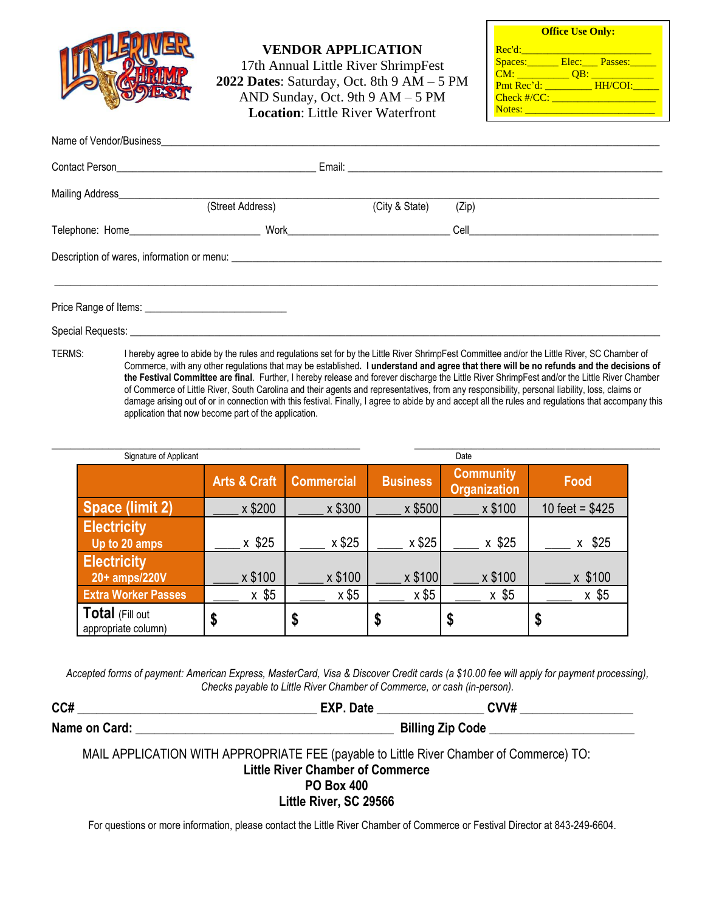

**VENDOR APPLICATION**

17th Annual Little River ShrimpFest **2022 Dates**: Saturday, Oct. 8th 9 AM – 5 PM AND Sunday, Oct. 9th 9 AM – 5 PM **Location**: Little River Waterfront

| <b>Office Use Only:</b> |  |                         |  |  |
|-------------------------|--|-------------------------|--|--|
| Rec'd:                  |  |                         |  |  |
|                         |  | Spaces: Elec: Passes:   |  |  |
| CM:                     |  | <u>OB: ____________</u> |  |  |
| Pmt Rec'd: HH/COI:      |  |                         |  |  |
| $Check$ #/ $CC:$        |  |                         |  |  |
| Notes:                  |  |                         |  |  |

| Name of Vendor/Business Name of Vendor/Business |                  |                |       |                                                                         |
|-------------------------------------------------|------------------|----------------|-------|-------------------------------------------------------------------------|
|                                                 |                  |                |       |                                                                         |
| Mailing Address_________________                |                  |                |       |                                                                         |
|                                                 | (Street Address) | (City & State) | (Zip) |                                                                         |
|                                                 |                  |                |       | <b>Cell Cell Cell Cell Cell Cell Cell Cell Cell Cell Cell Cell Cell</b> |
|                                                 |                  |                |       |                                                                         |
|                                                 |                  |                |       |                                                                         |
|                                                 |                  |                |       |                                                                         |

TERMS: I hereby agree to abide by the rules and regulations set for by the Little River ShrimpFest Committee and/or the Little River, SC Chamber of Commerce, with any other regulations that may be established**. I understand and agree that there will be no refunds and the decisions of the Festival Committee are final**. Further, I hereby release and forever discharge the Little River ShrimpFest and/or the Little River Chamber of Commerce of Little River, South Carolina and their agents and representatives, from any responsibility, personal liability, loss, claims or damage arising out of or in connection with this festival. Finally, I agree to abide by and accept all the rules and regulations that accompany this application that now become part of the application.

| Signature of Applicant                 |                         |                   |                 | Date                                    |                  |
|----------------------------------------|-------------------------|-------------------|-----------------|-----------------------------------------|------------------|
|                                        | <b>Arts &amp; Craft</b> | <b>Commercial</b> | <b>Business</b> | <b>Community</b><br><b>Organization</b> | Food             |
| Space (limit 2)                        | x \$200                 | x \$300           | x \$500         | x \$100                                 | 10 feet = $$425$ |
| <b>Electricity</b><br>Up to 20 amps    | x \$25                  | x \$25            | x \$25          | x \$25                                  | \$25             |
| <b>Electricity</b><br>20+ amps/220V    | x \$100                 | x \$100           | x \$100         | x \$100                                 | x \$100          |
| <b>Extra Worker Passes</b>             | $x$ \$5                 | x \$5             | x \$5           | $x$ \$5                                 | $x$ \$5          |
| Total (Fill out<br>appropriate column) | D                       | D                 | J               | ง                                       | \$               |

*Accepted forms of payment: American Express, MasterCard, Visa & Discover Credit cards (a \$10.00 fee will apply for payment processing), Checks payable to Little River Chamber of Commerce, or cash (in-person).*

| CC#           | EXP<br>⊅ate | <b>CVV#</b>             |
|---------------|-------------|-------------------------|
| Name on Card: |             | <b>Billing Zip Code</b> |

MAIL APPLICATION WITH APPROPRIATE FEE (payable to Little River Chamber of Commerce) TO: **Little River Chamber of Commerce PO Box 400**

**Little River, SC 29566**

For questions or more information, please contact the Little River Chamber of Commerce or Festival Director at 843-249-6604.